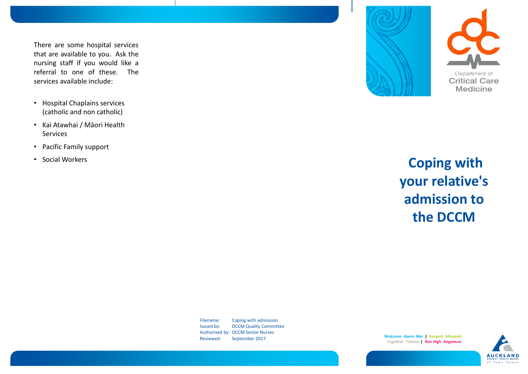There are some hospital services that are available to you. Ask the nursing staff if you would like a referral to one of these. The services available include:

- Hospital Chaplains services (catholic and non catholic)
- Kai Atawhai / Māori Health Services
- Pacific Family support
- Social Workers



## **Coping with your relative's admission to the DCCM**

Filename: Coping with admission Issued by: DCCM Quality Committee Authorised by: DCCM Senior Nurses Reviewed: September 2017

**Welcome** *Haere Mai* **| Respect** *Manaaki* **Together** *Tūhono* **| Aim High** *Angamua*